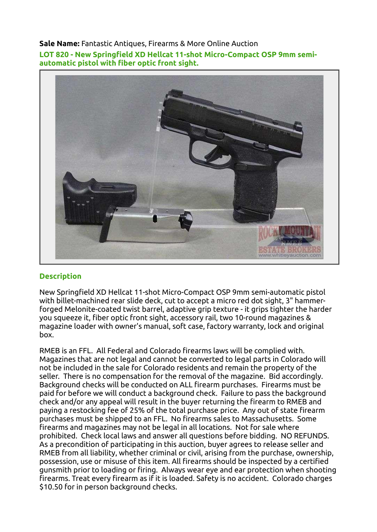## Sale Name: Fantastic Antiques, Firearms & More Online Auction

LOT 820 - New Springfield XD Hellcat 11-shot Micro-Compact OSP 9mm semiautomatic pistol with fiber optic front sight.



## **Description**

New Springfield XD Hellcat 11-shot Micro-Compact OSP 9mm semi-automatic pistol with billet-machined rear slide deck, cut to accept a micro red dot sight, 3" hammerforged Melonite-coated twist barrel, adaptive grip texture - it grips tighter the harder you squeeze it, fiber optic front sight, accessory rail, two 10-round magazines & magazine loader with owner's manual, soft case, factory warranty, lock and original box.

RMEB is an FFL. All Federal and Colorado firearms laws will be complied with. Magazines that are not legal and cannot be converted to legal parts in Colorado will not be included in the sale for Colorado residents and remain the property of the seller. There is no compensation for the removal of the magazine. Bid accordingly. Background checks will be conducted on ALL firearm purchases. Firearms must be paid for before we will conduct a background check. Failure to pass the background check and/or any appeal will result in the buyer returning the firearm to RMEB and paying a restocking fee of 25% of the total purchase price. Any out of state firearm purchases must be shipped to an FFL. No firearms sales to Massachusetts. Some firearms and magazines may not be legal in all locations. Not for sale where prohibited. Check local laws and answer all questions before bidding. NO REFUNDS. As a precondition of participating in this auction, buyer agrees to release seller and RMEB from all liability, whether criminal or civil, arising from the purchase, ownership, possession, use or misuse of this item. All firearms should be inspected by a certified gunsmith prior to loading or firing. Always wear eye and ear protection when shooting firearms. Treat every firearm as if it is loaded. Safety is no accident. Colorado charges \$10.50 for in person background checks.